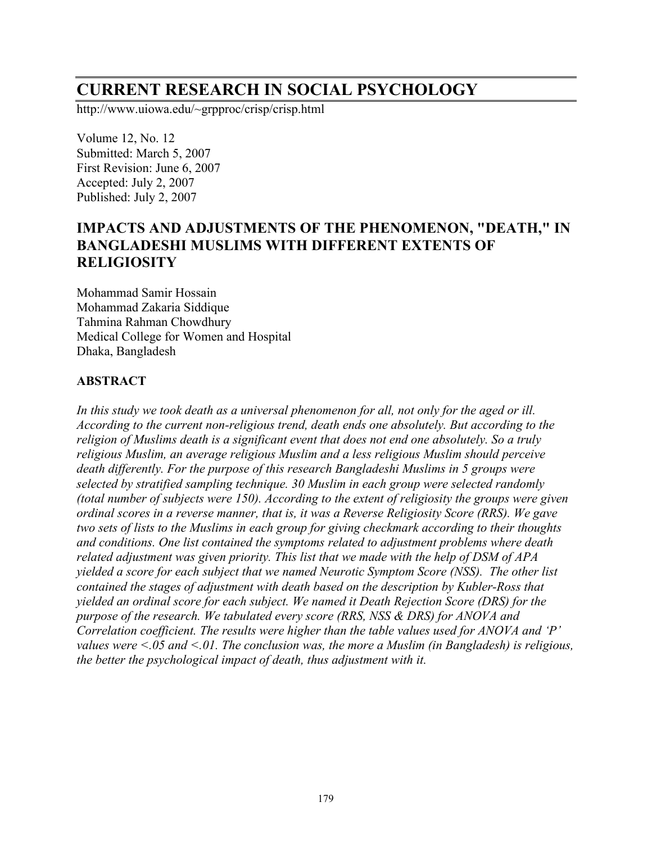# **CURRENT RESEARCH IN SOCIAL PSYCHOLOGY**

http://www.uiowa.edu/~grpproc/crisp/crisp.html

Volume 12, No. 12 Submitted: March 5, 2007 First Revision: June 6, 2007 Accepted: July 2, 2007 Published: July 2, 2007

# **IMPACTS AND ADJUSTMENTS OF THE PHENOMENON, "DEATH, " IN BANGLADESHI MUSLIMS WITH DIFFERENT EXTENTS OF RELIGIOSITY**

Mohammad Samir Hossain Mohammad Zakaria Siddique Tahmina Rahman Chowdhury Medical College for Women and Hospital Dhaka, Bangladesh

#### **ABSTRACT**

*In this study we took death as a universal phenomenon for all, not only for the aged or ill. According to the current non-religious trend, death ends one absolutely. But according to the religion of Muslims death is a significant event that does not end one absolutely. So a truly religious Muslim, an average religious Muslim and a less religious Muslim should perceive death differently. For the purpose of this research Bangladeshi Muslims in 5 groups were selected by stratified sampling technique. 30 Muslim in each group were selected randomly (total number of subjects were 150). According to the extent of religiosity the groups were given ordinal scores in a reverse manner, that is, it was a Reverse Religiosity Score (RRS). We gave two sets of lists to the Muslims in each group for giving checkmark according to their thoughts and conditions. One list contained the symptoms related to adjustment problems where death related adjustment was given priority. This list that we made with the help of DSM of APA yielded a score for each subject that we named Neurotic Symptom Score (NSS). The other list contained the stages of adjustment with death based on the description by Kubler-Ross that yielded an ordinal score for each subject. We named it Death Rejection Score (DRS) for the purpose of the research. We tabulated every score (RRS, NSS & DRS) for ANOVA and Correlation coefficient. The results were higher than the table values used for ANOVA and 'P' values were <.05 and <.01. The conclusion was, the more a Muslim (in Bangladesh) is religious, the better the psychological impact of death, thus adjustment with it.*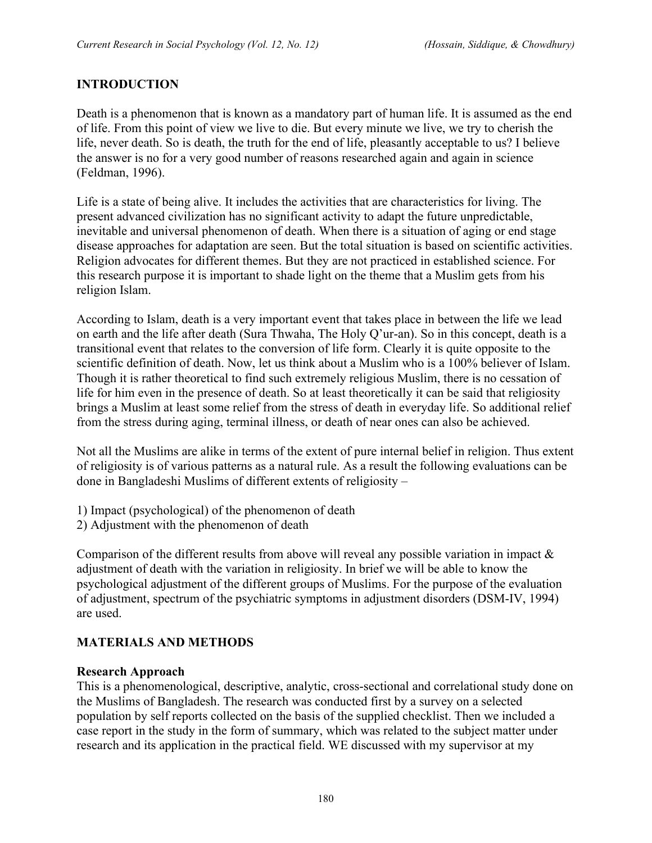# **INTRODUCTION**

Death is a phenomenon that is known as a mandatory part of human life. It is assumed as the end of life. From this point of view we live to die. But every minute we live, we try to cherish the life, never death. So is death, the truth for the end of life, pleasantly acceptable to us? I believe the answer is no for a very good number of reasons researched again and again in science (Feldman, 1996).

Life is a state of being alive. It includes the activities that are characteristics for living. The present advanced civilization has no significant activity to adapt the future unpredictable, inevitable and universal phenomenon of death. When there is a situation of aging or end stage disease approaches for adaptation are seen. But the total situation is based on scientific activities. Religion advocates for different themes. But they are not practiced in established science. For this research purpose it is important to shade light on the theme that a Muslim gets from his religion Islam.

According to Islam, death is a very important event that takes place in between the life we lead on earth and the life after death (Sura Thwaha, The Holy Q'ur-an). So in this concept, death is a transitional event that relates to the conversion of life form. Clearly it is quite opposite to the scientific definition of death. Now, let us think about a Muslim who is a 100% believer of Islam. Though it is rather theoretical to find such extremely religious Muslim, there is no cessation of life for him even in the presence of death. So at least theoretically it can be said that religiosity brings a Muslim at least some relief from the stress of death in everyday life. So additional relief from the stress during aging, terminal illness, or death of near ones can also be achieved.

Not all the Muslims are alike in terms of the extent of pure internal belief in religion. Thus extent of religiosity is of various patterns as a natural rule. As a result the following evaluations can be done in Bangladeshi Muslims of different extents of religiosity –

- 1) Impact (psychological) of the phenomenon of death
- 2) Adjustment with the phenomenon of death

Comparison of the different results from above will reveal any possible variation in impact  $\&$ adjustment of death with the variation in religiosity. In brief we will be able to know the psychological adjustment of the different groups of Muslims. For the purpose of the evaluation of adjustment, spectrum of the psychiatric symptoms in adjustment disorders (DSM-IV, 1994) are used.

# **MATERIALS AND METHODS**

#### **Research Approach**

This is a phenomenological, descriptive, analytic, cross-sectional and correlational study done on the Muslims of Bangladesh. The research was conducted first by a survey on a selected population by self reports collected on the basis of the supplied checklist. Then we included a case report in the study in the form of summary, which was related to the subject matter under research and its application in the practical field. WE discussed with my supervisor at my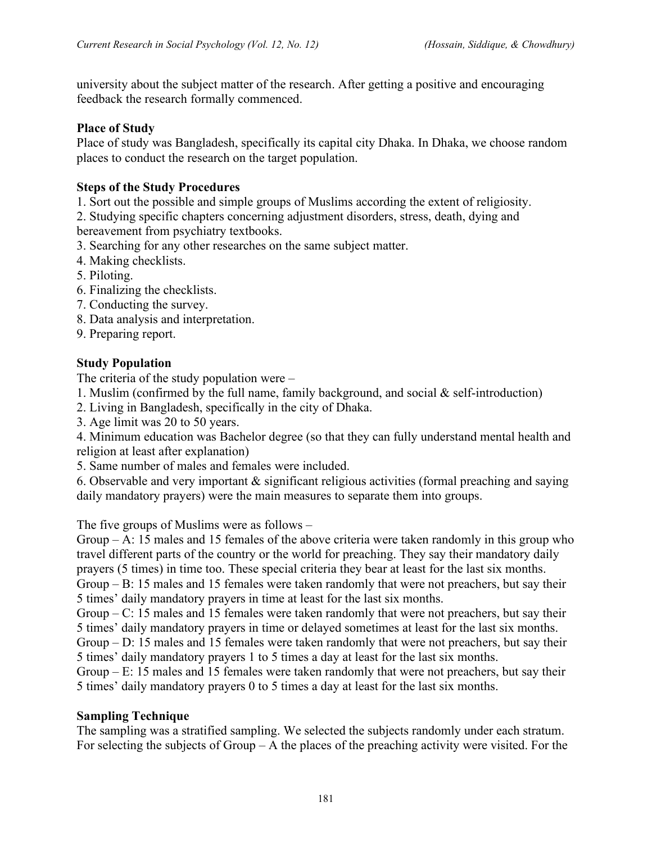university about the subject matter of the research. After getting a positive and encouraging feedback the research formally commenced.

#### **Place of Study**

Place of study was Bangladesh, specifically its capital city Dhaka. In Dhaka, we choose random places to conduct the research on the target population.

#### **Steps of the Study Procedures**

1. Sort out the possible and simple groups of Muslims according the extent of religiosity.

- 2. Studying specific chapters concerning adjustment disorders, stress, death, dying and bereavement from psychiatry textbooks.
- 3. Searching for any other researches on the same subject matter.
- 4. Making checklists.
- 5. Piloting.
- 6. Finalizing the checklists.
- 7. Conducting the survey.
- 8. Data analysis and interpretation.
- 9. Preparing report.

#### **Study Population**

The criteria of the study population were –

- 1. Muslim (confirmed by the full name, family background, and social  $\&$  self-introduction)
- 2. Living in Bangladesh, specifically in the city of Dhaka.
- 3. Age limit was 20 to 50 years.

4. Minimum education was Bachelor degree (so that they can fully understand mental health and religion at least after explanation)

5. Same number of males and females were included.

6. Observable and very important & significant religious activities (formal preaching and saying daily mandatory prayers) were the main measures to separate them into groups.

The five groups of Muslims were as follows –

Group  $-$  A: 15 males and 15 females of the above criteria were taken randomly in this group who travel different parts of the country or the world for preaching. They say their mandatory daily prayers (5 times) in time too. These special criteria they bear at least for the last six months. Group – B: 15 males and 15 females were taken randomly that were not preachers, but say their 5 times' daily mandatory prayers in time at least for the last six months.

Group – C: 15 males and 15 females were taken randomly that were not preachers, but say their 5 times' daily mandatory prayers in time or delayed sometimes at least for the last six months.

Group – D: 15 males and 15 females were taken randomly that were not preachers, but say their 5 times' daily mandatory prayers 1 to 5 times a day at least for the last six months.

Group – E: 15 males and 15 females were taken randomly that were not preachers, but say their 5 times' daily mandatory prayers 0 to 5 times a day at least for the last six months.

#### **Sampling Technique**

The sampling was a stratified sampling. We selected the subjects randomly under each stratum. For selecting the subjects of Group – A the places of the preaching activity were visited. For the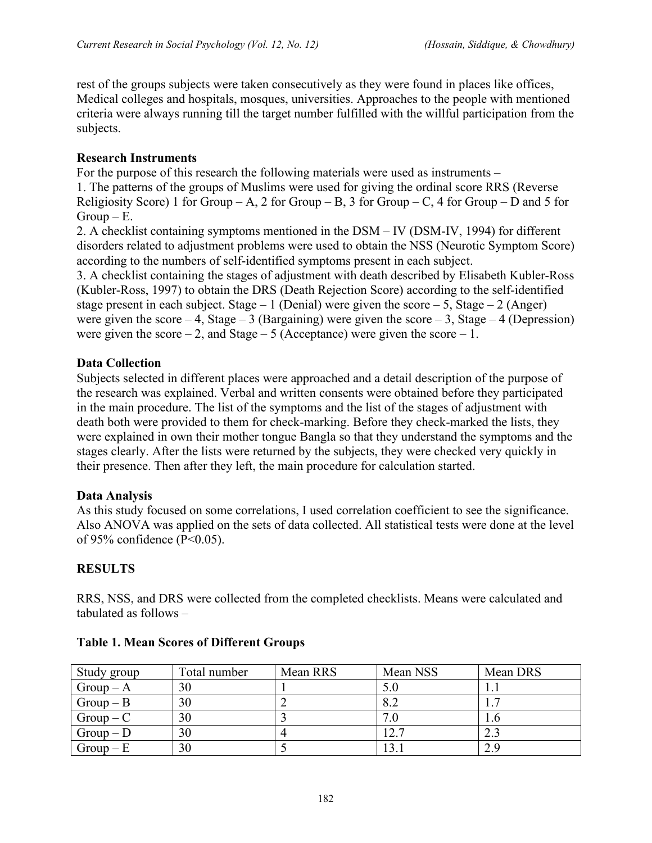rest of the groups subjects were taken consecutively as they were found in places like offices, Medical colleges and hospitals, mosques, universities. Approaches to the people with mentioned criteria were always running till the target number fulfilled with the willful participation from the subjects.

#### **Research Instruments**

For the purpose of this research the following materials were used as instruments – 1. The patterns of the groups of Muslims were used for giving the ordinal score RRS (Reverse Religiosity Score) 1 for Group – A, 2 for Group – B, 3 for Group – C, 4 for Group – D and 5 for  $Group - E$ .

2. A checklist containing symptoms mentioned in the DSM – IV (DSM-IV, 1994) for different disorders related to adjustment problems were used to obtain the NSS (Neurotic Symptom Score) according to the numbers of self-identified symptoms present in each subject.

3. A checklist containing the stages of adjustment with death described by Elisabeth Kubler-Ross (Kubler-Ross, 1997) to obtain the DRS (Death Rejection Score) according to the self-identified stage present in each subject. Stage – 1 (Denial) were given the score – 5, Stage – 2 (Anger) were given the score – 4, Stage – 3 (Bargaining) were given the score – 3, Stage – 4 (Depression) were given the score – 2, and Stage – 5 (Acceptance) were given the score – 1.

#### **Data Collection**

Subjects selected in different places were approached and a detail description of the purpose of the research was explained. Verbal and written consents were obtained before they participated in the main procedure. The list of the symptoms and the list of the stages of adjustment with death both were provided to them for check-marking. Before they check-marked the lists, they were explained in own their mother tongue Bangla so that they understand the symptoms and the stages clearly. After the lists were returned by the subjects, they were checked very quickly in their presence. Then after they left, the main procedure for calculation started.

#### **Data Analysis**

As this study focused on some correlations, I used correlation coefficient to see the significance. Also ANOVA was applied on the sets of data collected. All statistical tests were done at the level of 95% confidence (P<0.05).

#### **RESULTS**

RRS, NSS, and DRS were collected from the completed checklists. Means were calculated and tabulated as follows –

| Study group | Total number | Mean RRS | Mean NSS | Mean DRS |
|-------------|--------------|----------|----------|----------|
| $Group-A$   | 30           |          | 5.0      |          |
| $Group-B$   | 30           |          | 8.2      |          |
| $Group - C$ | 30           |          |          |          |
| $Group - D$ | 30           |          | 12.7     |          |
| $Group - E$ | 30           |          |          | 2.9      |

#### **Table 1. Mean Scores of Different Groups**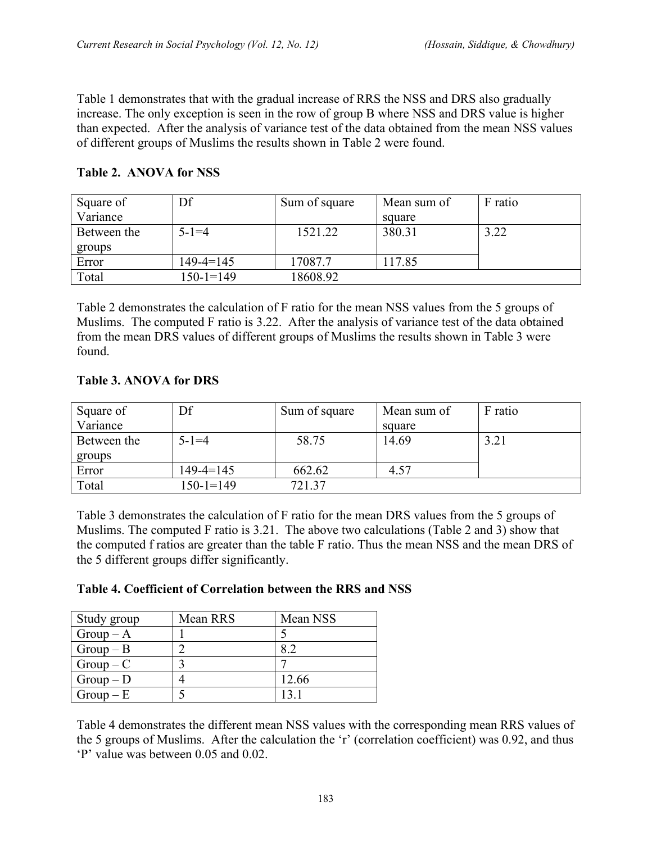Table 1 demonstrates that with the gradual increase of RRS the NSS and DRS also gradually increase. The only exception is seen in the row of group B where NSS and DRS value is higher than expected. After the analysis of variance test of the data obtained from the mean NSS values of different groups of Muslims the results shown in Table 2 were found.

| <b>Table 2. ANOVA for NSS</b> |  |
|-------------------------------|--|
|                               |  |

| Square of   | Df              | Sum of square | Mean sum of | F ratio |
|-------------|-----------------|---------------|-------------|---------|
| Variance    |                 |               | square      |         |
| Between the | $5 - 1 = 4$     | 1521.22       | 380.31      | 3.22    |
| groups      |                 |               |             |         |
| Error       | $149 - 4 = 145$ | 17087.7       | 117.85      |         |
| Total       | $150 - 1 = 149$ | 18608.92      |             |         |

Table 2 demonstrates the calculation of F ratio for the mean NSS values from the 5 groups of Muslims. The computed F ratio is 3.22. After the analysis of variance test of the data obtained from the mean DRS values of different groups of Muslims the results shown in Table 3 were found.

## **Table 3. ANOVA for DRS**

| Square of   | Df          | Sum of square | Mean sum of | F ratio |
|-------------|-------------|---------------|-------------|---------|
| Variance    |             |               | square      |         |
| Between the | $5 - 1 = 4$ | 58.75         | 14.69       | 3.21    |
| groups      |             |               |             |         |
| Error       | 149-4=145   | 662.62        | 4.57        |         |
| Total       | $150-1=149$ | 721.37        |             |         |

Table 3 demonstrates the calculation of F ratio for the mean DRS values from the 5 groups of Muslims. The computed F ratio is 3.21. The above two calculations (Table 2 and 3) show that the computed f ratios are greater than the table F ratio. Thus the mean NSS and the mean DRS of the 5 different groups differ significantly.

| Table 4. Coefficient of Correlation between the RRS and NSS |  |  |  |  |
|-------------------------------------------------------------|--|--|--|--|
|                                                             |  |  |  |  |

| Study group | Mean RRS | Mean NSS |
|-------------|----------|----------|
| $Group-A$   |          |          |
| $Group-B$   |          |          |
| $Group - C$ |          |          |
| $Group - D$ |          | 12.66    |
| $Group - E$ |          |          |

Table 4 demonstrates the different mean NSS values with the corresponding mean RRS values of the 5 groups of Muslims. After the calculation the 'r' (correlation coefficient) was 0.92, and thus 'P' value was between 0.05 and 0.02.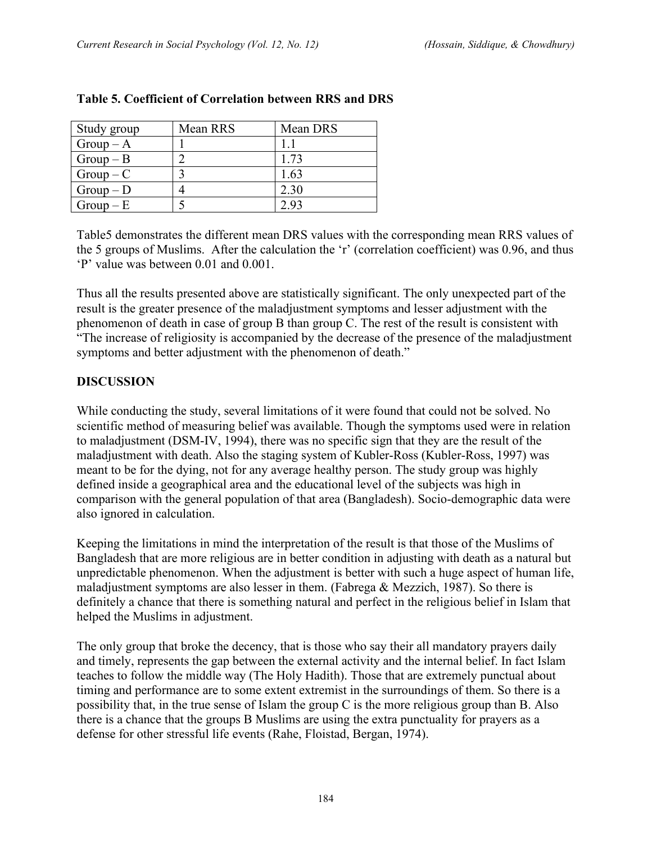| Study group | Mean RRS | Mean DRS |
|-------------|----------|----------|
| $Group-A$   |          |          |
| $Group-B$   |          | 1.73     |
| $Group - C$ |          | 1.63     |
| $Group - D$ |          | 2.30     |
| $Group - E$ |          | 293      |

#### **Table 5. Coefficient of Correlation between RRS and DRS**

Table5 demonstrates the different mean DRS values with the corresponding mean RRS values of the 5 groups of Muslims. After the calculation the 'r' (correlation coefficient) was 0.96, and thus 'P' value was between 0.01 and 0.001.

Thus all the results presented above are statistically significant. The only unexpected part of the result is the greater presence of the maladjustment symptoms and lesser adjustment with the phenomenon of death in case of group B than group C. The rest of the result is consistent with "The increase of religiosity is accompanied by the decrease of the presence of the maladjustment symptoms and better adjustment with the phenomenon of death."

## **DISCUSSION**

While conducting the study, several limitations of it were found that could not be solved. No scientific method of measuring belief was available. Though the symptoms used were in relation to maladjustment (DSM-IV, 1994), there was no specific sign that they are the result of the maladjustment with death. Also the staging system of Kubler-Ross (Kubler-Ross, 1997) was meant to be for the dying, not for any average healthy person. The study group was highly defined inside a geographical area and the educational level of the subjects was high in comparison with the general population of that area (Bangladesh). Socio-demographic data were also ignored in calculation.

Keeping the limitations in mind the interpretation of the result is that those of the Muslims of Bangladesh that are more religious are in better condition in adjusting with death as a natural but unpredictable phenomenon. When the adjustment is better with such a huge aspect of human life, maladjustment symptoms are also lesser in them. (Fabrega & Mezzich, 1987). So there is definitely a chance that there is something natural and perfect in the religious belief in Islam that helped the Muslims in adjustment.

The only group that broke the decency, that is those who say their all mandatory prayers daily and timely, represents the gap between the external activity and the internal belief. In fact Islam teaches to follow the middle way (The Holy Hadith). Those that are extremely punctual about timing and performance are to some extent extremist in the surroundings of them. So there is a possibility that, in the true sense of Islam the group C is the more religious group than B. Also there is a chance that the groups B Muslims are using the extra punctuality for prayers as a defense for other stressful life events (Rahe, Floistad, Bergan, 1974).